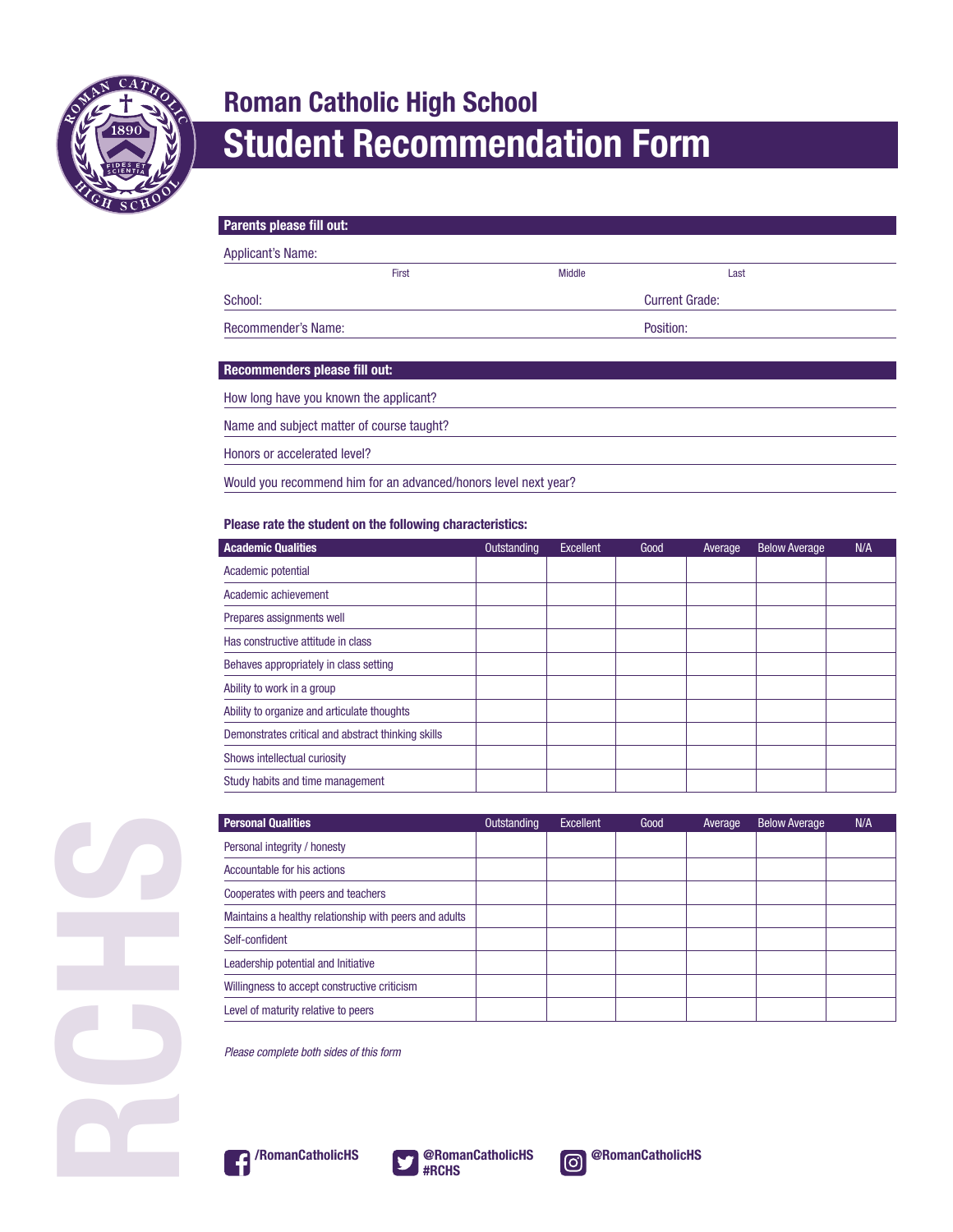

## **Roman Catholic High School Student Recommendation Form**

| Parents please fill out:                  |               |                       |  |  |  |
|-------------------------------------------|---------------|-----------------------|--|--|--|
| Applicant's Name:                         |               |                       |  |  |  |
| First                                     | <b>Middle</b> | Last                  |  |  |  |
| School:                                   |               | <b>Current Grade:</b> |  |  |  |
| <b>Recommender's Name:</b>                |               | Position:             |  |  |  |
|                                           |               |                       |  |  |  |
| Recommenders please fill out:             |               |                       |  |  |  |
| How long have you known the applicant?    |               |                       |  |  |  |
| Name and subject matter of course taught? |               |                       |  |  |  |
| Honors or accelerated level?              |               |                       |  |  |  |
|                                           |               |                       |  |  |  |

Would you recommend him for an advanced/honors level next year?

## **Please rate the student on the following characteristics:**

| <b>Academic Qualities</b>                          | Outstanding | Excellent | Good | Average | <b>Below Average</b> | N/A |
|----------------------------------------------------|-------------|-----------|------|---------|----------------------|-----|
| Academic potential                                 |             |           |      |         |                      |     |
| Academic achievement                               |             |           |      |         |                      |     |
| Prepares assignments well                          |             |           |      |         |                      |     |
| Has constructive attitude in class                 |             |           |      |         |                      |     |
| Behaves appropriately in class setting             |             |           |      |         |                      |     |
| Ability to work in a group                         |             |           |      |         |                      |     |
| Ability to organize and articulate thoughts        |             |           |      |         |                      |     |
| Demonstrates critical and abstract thinking skills |             |           |      |         |                      |     |
| Shows intellectual curiosity                       |             |           |      |         |                      |     |
| Study habits and time management                   |             |           |      |         |                      |     |

| <b>Personal Qualities</b>                              | Outstanding | Excellent | Good | Average | <b>Below Average</b> | N/A |
|--------------------------------------------------------|-------------|-----------|------|---------|----------------------|-----|
| Personal integrity / honesty                           |             |           |      |         |                      |     |
| Accountable for his actions                            |             |           |      |         |                      |     |
| Cooperates with peers and teachers                     |             |           |      |         |                      |     |
| Maintains a healthy relationship with peers and adults |             |           |      |         |                      |     |
| Self-confident                                         |             |           |      |         |                      |     |
| Leadership potential and Initiative                    |             |           |      |         |                      |     |
| Willingness to accept constructive criticism           |             |           |      |         |                      |     |
| Level of maturity relative to peers                    |             |           |      |         |                      |     |

*Please complete both sides of this form*